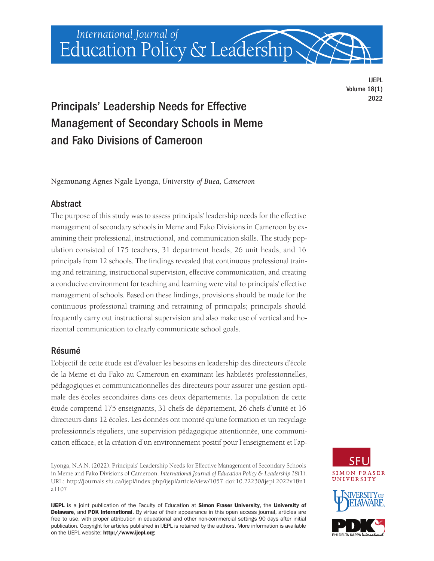International Journal of Education Policy & Leadership

> IJEPL Volume 18(1) 2022

# Principals' Leadership Needs for Effective Management of Secondary Schools in Meme and Fako Divisions of Cameroon

Ngemunang Agnes Ngale Lyonga, *University of Buea, Cameroon* 

# **Abstract**

The purpose of this study was to assess principals' leadership needs for the effective management of secondary schools in Meme and Fako Divisions in Cameroon by examining their professional, instructional, and communication skills. The study population consisted of 175 teachers, 31 department heads, 26 unit heads, and 16 principals from 12 schools. The findings revealed that continuous professional training and retraining, instructional supervision, effective communication, and creating a conducive environment for teaching and learning were vital to principals' effective management of schools. Based on these findings, provisions should be made for the continuous professional training and retraining of principals; principals should frequently carry out instructional supervision and also make use of vertical and horizontal communication to clearly communicate school goals.

# Résumé

L'objectif de cette étude est d'évaluer les besoins en leadership des directeurs d'école de la Meme et du Fako au Cameroun en examinant les habiletés professionnelles, pédagogiques et communicationnelles des directeurs pour assurer une gestion optimale des écoles secondaires dans ces deux départements. La population de cette étude comprend 175 enseignants, 31 chefs de département, 26 chefs d'unité et 16 directeurs dans 12 écoles. Les données ont montré qu'une formation et un recyclage professionnels réguliers, une supervision pédagogique attentionnée, une communication efficace, et la création d'un environnement positif pour l'enseignement et l'ap-

Lyonga, N.A.N. (2022). Principals' Leadership Needs for Effective Management of Secondary Schools in Meme and Fako Divisions of Cameroon. *International Journal of Education Policy & Leadership 18*(1). URL:<http://journals.sfu.ca/ijepl/index.php/ijepl/article/view/1057>doi[:10.22230/ijepl.2022v18n1](https://doi.org/10.22230/ijepl.2022v18n1a1107)  [a1107](https://doi.org/10.22230/ijepl.2022v18n1a1107) 

IJEPL is a joint publication of the Faculty of Education at Simon Fraser University, the University of Delaware, and PDK International. By virtue of their appearance in this open access journal, articles are free to use, with proper attribution in educational and other non-commercial settings 90 days after initial publication. Copyright for articles published in IJEPL is retained by the authors. More information is available on the IJEPL website: <http://www.ijepl.org>





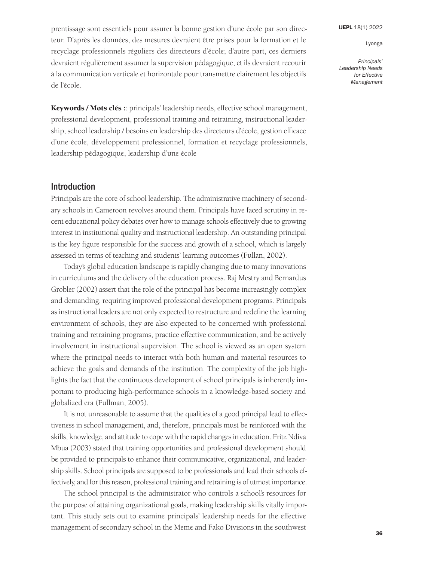[IJEPL](http://www.ijepl.org) 18(1) 2022

Lyonga

*Principals' Leadership Needs for Effective Management*

prentissage sont essentiels pour assurer la bonne gestion d'une école par son directeur. D'après les données, des mesures devraient être prises pour la formation et le recyclage professionnels réguliers des directeurs d'école; d'autre part, ces derniers devraient régulièrement assumer la supervision pédagogique, et ils devraient recourir à la communication verticale et horizontale pour transmettre clairement les objectifs de l'école.

**Keywords / Mots clés :**: principals' leadership needs, effective school management, professional development, professional training and retraining, instructional leadership, school leadership / besoins en leadership des directeurs d'école, gestion efficace d'une école, développement professionnel, formation et recyclage professionnels, leadership pédagogique, leadership d'une école

# Introduction

Principals are the core of school leadership. The administrative machinery of secondary schools in Cameroon revolves around them. Principals have faced scrutiny in recent educational policy debates over how to manage schools effectively due to growing interest in institutional quality and instructional leadership. An outstanding principal is the key figure responsible for the success and growth of a school, which is largely assessed in terms of teaching and students' learning outcomes (Fullan, 2002).

Today's global education landscape is rapidly changing due to many innovations in curriculums and the delivery of the education process. Raj Mestry and Bernardus Grobler (2002) assert that the role of the principal has become increasingly complex and demanding, requiring improved professional development programs. Principals as instructional leaders are not only expected to restructure and redefine the learning environment of schools, they are also expected to be concerned with professional training and retraining programs, practice effective communication, and be actively involvement in instructional supervision. The school is viewed as an open system where the principal needs to interact with both human and material resources to achieve the goals and demands of the institution. The complexity of the job highlights the fact that the continuous development of school principals is inherently important to producing high-performance schools in a knowledge-based society and globalized era (Fullman, 2005).

It is not unreasonable to assume that the qualities of a good principal lead to effectiveness in school management, and, therefore, principals must be reinforced with the skills, knowledge, and attitude to cope with the rapid changes in education. Fritz Ndiva Mbua (2003) stated that training opportunities and professional development should be provided to principals to enhance their communicative, organizational, and leadership skills. School principals are supposed to be professionals and lead their schools effectively, and for this reason, professional training and retraining is of utmost importance.

The school principal is the administrator who controls a school's resources for the purpose of attaining organizational goals, making leadership skills vitally important. This study sets out to examine principals' leadership needs for the effective management of secondary school in the Meme and Fako Divisions in the southwest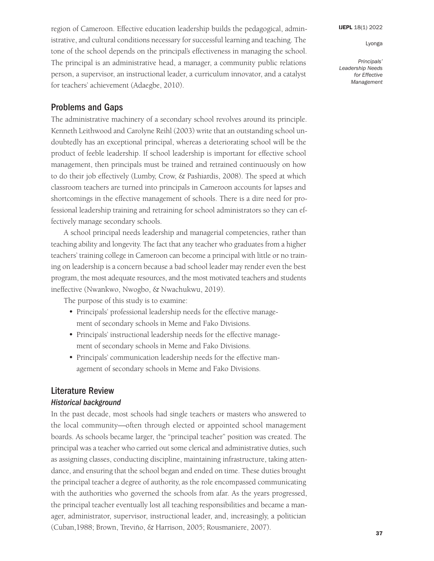*Principals' Leadership Needs for Effective Management*

region of Cameroon. Effective education leadership builds the pedagogical, administrative, and cultural conditions necessary for successful learning and teaching. The tone of the school depends on the principal's effectiveness in managing the school. The principal is an administrative head, a manager, a community public relations person, a supervisor, an instructional leader, a curriculum innovator, and a catalyst for teachers' achievement (Adaegbe, 2010).

# Problems and Gaps

The administrative machinery of a secondary school revolves around its principle. Kenneth Leithwood and Carolyne Reihl (2003) write that an outstanding school undoubtedly has an exceptional principal, whereas a deteriorating school will be the product of feeble leadership. If school leadership is important for effective school management, then principals must be trained and retrained continuously on how to do their job effectively (Lumby, Crow, & Pashiardis, 2008). The speed at which classroom teachers are turned into principals in Cameroon accounts for lapses and shortcomings in the effective management of schools. There is a dire need for professional leadership training and retraining for school administrators so they can effectively manage secondary schools.

A school principal needs leadership and managerial competencies, rather than teaching ability and longevity. The fact that any teacher who graduates from a higher teachers' training college in Cameroon can become a principal with little or no training on leadership is a concern because a bad school leader may render even the best program, the most adequate resources, and the most motivated teachers and students ineffective (Nwankwo, Nwogbo, & Nwachukwu, 2019).

The purpose of this study is to examine:

- Principals' professional leadership needs for the effective management of secondary schools in Meme and Fako Divisions.
- Principals' instructional leadership needs for the effective management of secondary schools in Meme and Fako Divisions.
- Principals' communication leadership needs for the effective management of secondary schools in Meme and Fako Divisions.

# Literature Review

### *Historical background*

In the past decade, most schools had single teachers or masters who answered to the local community—often through elected or appointed school management boards. As schools became larger, the "principal teacher" position was created. The principal was a teacher who carried out some clerical and administrative duties, such as assigning classes, conducting discipline, maintaining infrastructure, taking attendance, and ensuring that the school began and ended on time. These duties brought the principal teacher a degree of authority, as the role encompassed communicating with the authorities who governed the schools from afar. As the years progressed, the principal teacher eventually lost all teaching responsibilities and became a manager, administrator, supervisor, instructional leader, and, increasingly, a politician (Cuban,1988; Brown, Treviño, & Harrison, 2005; Rousmaniere, 2007).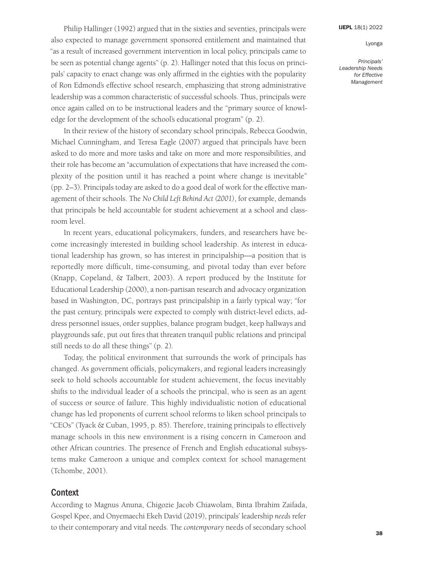*Principals' Leadership Needs for Effective Management*

Philip Hallinger (1992) argued that in the sixties and seventies, principals were also expected to manage government sponsored entitlement and maintained that "as a result of increased government intervention in local policy, principals came to be seen as potential change agents" (p. 2). Hallinger noted that this focus on principals' capacity to enact change was only affirmed in the eighties with the popularity of Ron Edmond's effective school research, emphasizing that strong administrative leadership was a common characteristic of successful schools. Thus, principals were once again called on to be instructional leaders and the "primary source of knowledge for the development of the school's educational program" (p. 2).

In their review of the history of secondary school principals, Rebecca Goodwin, Michael Cunningham, and Teresa Eagle (2007) argued that principals have been asked to do more and more tasks and take on more and more responsibilities, and their role has become an "accumulation of expectations that have increased the complexity of the position until it has reached a point where change is inevitable" (pp. 2–3). Principals today are asked to do a good deal of work for the effective management of their schools. The *No Child Left Behind Act (2001)*, for example, demands that principals be held accountable for student achievement at a school and classroom level.

In recent years, educational policymakers, funders, and researchers have become increasingly interested in building school leadership. As interest in educational leadership has grown, so has interest in principalship—a position that is reportedly more difficult, time-consuming, and pivotal today than ever before (Knapp, Copeland, & Talbert, 2003). A report produced by the Institute for Educational Leadership (2000), a non-partisan research and advocacy organization based in Washington, DC, portrays past principalship in a fairly typical way; "for the past century, principals were expected to comply with district-level edicts, address personnel issues, order supplies, balance program budget, keep hallways and playgrounds safe, put out fires that threaten tranquil public relations and principal still needs to do all these things" (p. 2).

Today, the political environment that surrounds the work of principals has changed. As government officials, policymakers, and regional leaders increasingly seek to hold schools accountable for student achievement, the focus inevitably shifts to the individual leader of a schools the principal, who is seen as an agent of success or source of failure. This highly individualistic notion of educational change has led proponents of current school reforms to liken school principals to "CEOs" (Tyack & Cuban, 1995, p. 85). Therefore, training principals to effectively manage schools in this new environment is a rising concern in Cameroon and other African countries. The presence of French and English educational subsystems make Cameroon a unique and complex context for school management (Tchombe, 2001).

# **Context**

According to Magnus Anuna, Chigozie Jacob Chiawolam, Binta Ibrahim Zaifada, Gospel Kpee, and Onyemaechi Ekeh David (2019), principals' leadership *needs* refer to their contemporary and vital needs. The *contemporary* needs of secondary school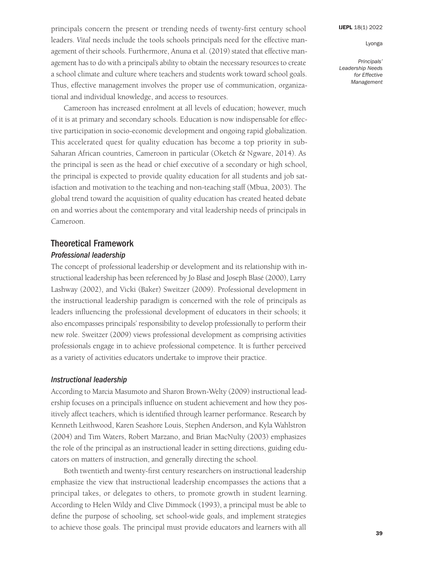#### [IJEPL](http://www.ijepl.org) 18(1) 2022

#### Lyonga

*Principals' Leadership Needs for Effective Management*

principals concern the present or trending needs of twenty-first century school leaders. *Vital* needs include the tools schools principals need for the effective management of their schools. Furthermore, Anuna et al. (2019) stated that effective management has to do with a principal's ability to obtain the necessary resources to create a school climate and culture where teachers and students work toward school goals. Thus, effective management involves the proper use of communication, organizational and individual knowledge, and access to resources.

Cameroon has increased enrolment at all levels of education; however, much of it is at primary and secondary schools. Education is now indispensable for effective participation in socio-economic development and ongoing rapid globalization. This accelerated quest for quality education has become a top priority in sub-Saharan African countries, Cameroon in particular (Oketch & Ngware, 2014). As the principal is seen as the head or chief executive of a secondary or high school, the principal is expected to provide quality education for all students and job satisfaction and motivation to the teaching and non-teaching staff (Mbua, 2003). The global trend toward the acquisition of quality education has created heated debate on and worries about the contemporary and vital leadership needs of principals in Cameroon.

# Theoretical Framework *Professional leadership*

The concept of professional leadership or development and its relationship with instructional leadership has been referenced by Jo Blasé and Joseph Blasé (2000), Larry Lashway (2002), and Vicki (Baker) Sweitzer (2009). Professional development in the instructional leadership paradigm is concerned with the role of principals as leaders influencing the professional development of educators in their schools; it also encompasses principals' responsibility to develop professionally to perform their new role. Sweitzer (2009) views professional development as comprising activities professionals engage in to achieve professional competence. It is further perceived as a variety of activities educators undertake to improve their practice.

# *Instructional leadership*

According to Marcia Masumoto and Sharon Brown-Welty (2009) instructional leadership focuses on a principal's influence on student achievement and how they positively affect teachers, which is identified through learner performance. Research by Kenneth Leithwood, Karen Seashore Louis, Stephen Anderson, and Kyla Wahlstron (2004) and Tim Waters, Robert Marzano, and Brian MacNulty (2003) emphasizes the role of the principal as an instructional leader in setting directions, guiding educators on matters of instruction, and generally directing the school.

Both twentieth and twenty-first century researchers on instructional leadership emphasize the view that instructional leadership encompasses the actions that a principal takes, or delegates to others, to promote growth in student learning. According to Helen Wildy and Clive Dimmock (1993), a principal must be able to define the purpose of schooling, set school-wide goals, and implement strategies to achieve those goals. The principal must provide educators and learners with all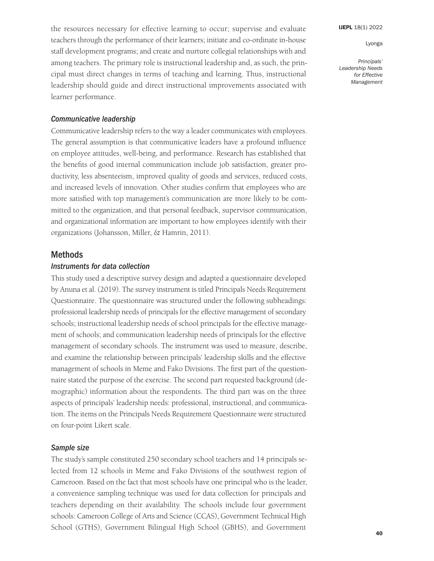*Principals' Leadership Needs for Effective Management*

the resources necessary for effective learning to occur; supervise and evaluate teachers through the performance of their learners; initiate and co-ordinate in-house staff development programs; and create and nurture collegial relationships with and among teachers. The primary role is instructional leadership and, as such, the principal must direct changes in terms of teaching and learning. Thus, instructional leadership should guide and direct instructional improvements associated with learner performance.

#### *Communicative leadership*

Communicative leadership refers to the way a leader communicates with employees. The general assumption is that communicative leaders have a profound influence on employee attitudes, well-being, and performance. Research has established that the benefits of good internal communication include job satisfaction, greater productivity, less absenteeism, improved quality of goods and services, reduced costs, and increased levels of innovation. Other studies confirm that employees who are more satisfied with top management's communication are more likely to be committed to the organization, and that personal feedback, supervisor communication, and organizational information are important to how employees identify with their organizations (Johansson, Miller, & Hamrin, 2011).

### **Methods**

### *Instruments for data collection*

This study used a descriptive survey design and adapted a questionnaire developed by Anuna et al. (2019). The survey instrument is titled Principals Needs Requirement Questionnaire. The questionnaire was structured under the following subheadings: professional leadership needs of principals for the effective management of secondary schools; instructional leadership needs of school principals for the effective management of schools; and communication leadership needs of principals for the effective management of secondary schools. The instrument was used to measure, describe, and examine the relationship between principals' leadership skills and the effective management of schools in Meme and Fako Divisions. The first part of the questionnaire stated the purpose of the exercise. The second part requested background (demographic) information about the respondents. The third part was on the three aspects of principals' leadership needs: professional, instructional, and communication. The items on the Principals Needs Requirement Questionnaire were structured on four-point Likert scale.

### *Sample size*

The study's sample constituted 250 secondary school teachers and 14 principals selected from 12 schools in Meme and Fako Divisions of the southwest region of Cameroon. Based on the fact that most schools have one principal who is the leader, a convenience sampling technique was used for data collection for principals and teachers depending on their availability. The schools include four government schools: Cameroon College of Arts and Science (CCAS), Government Technical High School (GTHS), Government Bilingual High School (GBHS), and Government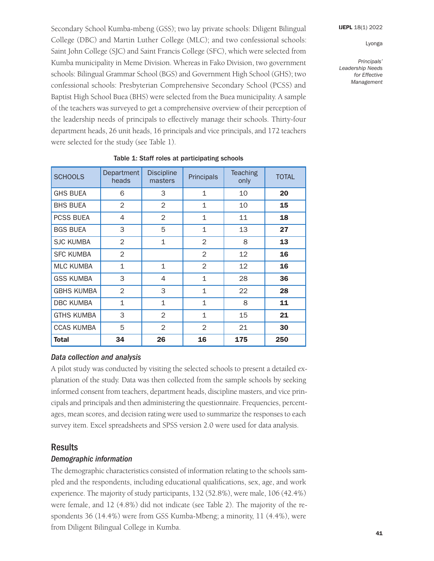*Principals' Leadership Needs for Effective Management*

Secondary School Kumba-mbeng (GSS); two lay private schools: Diligent Bilingual College (DBC) and Martin Luther College (MLC); and two confessional schools: Saint John College (SJC) and Saint Francis College (SFC), which were selected from Kumba municipality in Meme Division. Whereas in Fako Division, two government schools: Bilingual Grammar School (BGS) and Government High School (GHS); two confessional schools: Presbyterian Comprehensive Secondary School (PCSS) and Baptist High School Buea (BHS) were selected from the Buea municipality. A sample of the teachers was surveyed to get a comprehensive overview of their perception of the leadership needs of principals to effectively manage their schools. Thirty-four department heads, 26 unit heads, 16 principals and vice principals, and 172 teachers were selected for the study (see Table 1).

| <b>SCHOOLS</b>    | Department<br>heads | <b>Discipline</b><br>masters | Principals     | <b>Teaching</b><br>only | <b>TOTAL</b> |
|-------------------|---------------------|------------------------------|----------------|-------------------------|--------------|
| <b>GHS BUEA</b>   | 6                   | 3                            | $\mathbf 1$    | 10                      | 20           |
| <b>BHS BUEA</b>   | 2                   | $\overline{2}$               | $\mathbf{1}$   | 10                      | 15           |
| <b>PCSS BUEA</b>  | 4                   | 2                            | $\mathbf{1}$   | 11                      | 18           |
| <b>BGS BUEA</b>   | 3                   | 5                            | $\mathbf 1$    | 13                      | 27           |
| <b>SJC KUMBA</b>  | $\overline{2}$      | $\mathbf{1}$                 | $\overline{2}$ | 8                       | 13           |
| <b>SFC KUMBA</b>  | 2                   |                              | 2              | 12                      | 16           |
| <b>MLC KUMBA</b>  | $\mathbf{1}$        | $\mathbf{1}$                 | 2              | 12                      | 16           |
| <b>GSS KUMBA</b>  | 3                   | 4                            | $\mathbf{1}$   | 28                      | 36           |
| <b>GBHS KUMBA</b> | 2                   | 3                            | $\mathbf{1}$   | 22                      | 28           |
| <b>DBC KUMBA</b>  | $\mathbf{1}$        | $\mathbf{1}$                 | $\mathbf{1}$   | 8                       | 11           |
| <b>GTHS KUMBA</b> | 3                   | $\overline{2}$               | $\mathbf{1}$   | 15                      | 21           |
| <b>CCAS KUMBA</b> | 5                   | 2                            | $\mathcal{P}$  | 21                      | 30           |
| <b>Total</b>      | 34                  | 26                           | 16             | 175                     | 250          |

#### Table 1: Staff roles at participating schools

#### *Data collection and analysis*

A pilot study was conducted by visiting the selected schools to present a detailed explanation of the study. Data was then collected from the sample schools by seeking informed consent from teachers, department heads, discipline masters, and vice principals and principals and then administering the questionnaire. Frequencies, percentages, mean scores, and decision rating were used to summarize the responses to each survey item. Excel spreadsheets and SPSS version 2.0 were used for data analysis.

### Results

#### *Demographic information*

The demographic characteristics consisted of information relating to the schools sampled and the respondents, including educational qualifications, sex, age, and work experience. The majority of study participants, 132 (52.8%), were male, 106 (42.4%) were female, and 12 (4.8%) did not indicate (see Table 2). The majority of the respondents 36 (14.4%) were from GSS Kumba-Mbeng; a minority, 11 (4.4%), were from Diligent Bilingual College in Kumba.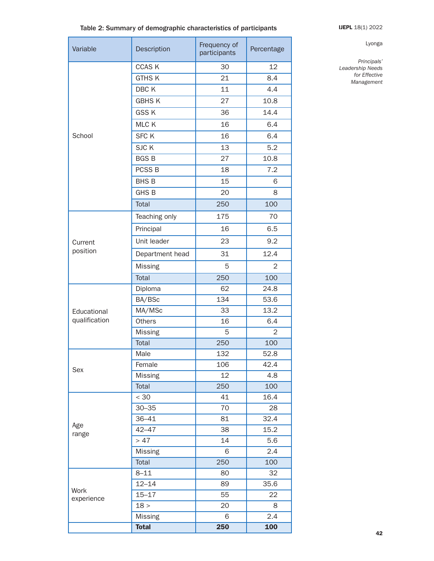# Table 2: Summary of demographic characteristics of participants **[IJEPL](http://www.ijepl.org) 18(1) 2022**

| Variable      | Description       | Frequency of<br>participants | Percentage |  |  |
|---------------|-------------------|------------------------------|------------|--|--|
|               | <b>CCASK</b>      | 30                           | 12         |  |  |
|               | <b>GTHSK</b>      | 21                           | 8.4        |  |  |
|               | DBC K             | 11                           | 4.4        |  |  |
|               | <b>GBHSK</b>      | 27                           | 10.8       |  |  |
|               | <b>GSSK</b>       | 36                           | 14.4       |  |  |
|               | MLC K             | 16                           | 6.4        |  |  |
| School        | <b>SFC K</b>      | 16                           | 6.4        |  |  |
|               | SJC K             | 13                           | 5.2        |  |  |
|               | <b>BGSB</b>       | 27                           | 10.8       |  |  |
|               | PCSS <sub>B</sub> | 18                           | 7.2        |  |  |
|               | <b>BHSB</b>       | 15                           | 6          |  |  |
|               | <b>GHS B</b>      | 20                           | 8          |  |  |
|               | <b>Total</b>      | 250                          | 100        |  |  |
|               | Teaching only     | 175                          | 70         |  |  |
|               | Principal         | 16                           | 6.5        |  |  |
| Current       | Unit leader       | 23                           | 9.2        |  |  |
| position      | Department head   | 31                           | 12.4       |  |  |
|               | <b>Missing</b>    | 5                            | 2          |  |  |
|               | Total             | 250                          | 100        |  |  |
|               | Diploma           | 62                           | 24.8       |  |  |
|               | BA/BSc            | 134                          | 53.6       |  |  |
| Educational   | MA/MSc            | 33                           | 13.2       |  |  |
| qualification | <b>Others</b>     | 16                           | 6.4        |  |  |
|               | <b>Missing</b>    | 5                            | 2          |  |  |
|               | <b>Total</b>      | 250                          | 100        |  |  |
|               | Male              | 132                          | 52.8       |  |  |
| Sex           | Female            | 106                          | 42.4       |  |  |
|               | <b>Missing</b>    | 12                           | 4.8        |  |  |
|               | Total             | 250                          | 100        |  |  |
|               | < 30              | 41                           | 16.4       |  |  |
|               | $30 - 35$         | 70                           | 28         |  |  |
| Age           | $36 - 41$         | 81                           | 32.4       |  |  |
| range         | $42 - 47$         | 38                           | 15.2       |  |  |
|               | > 47              | 14                           | 5.6        |  |  |
|               | <b>Missing</b>    | 6                            | 2.4        |  |  |
|               | Total             | 250                          | 100        |  |  |
|               | $8 - 11$          | 80                           | 32         |  |  |
| Work          | $12 - 14$         | 89                           | 35.6       |  |  |
| experience    | $15 - 17$         | 55                           | 22         |  |  |
|               | 18 >              | 20                           | 8          |  |  |
|               | <b>Missing</b>    | 6                            | 2.4        |  |  |
|               | <b>Total</b>      | 250                          | 100        |  |  |

#### Lyonga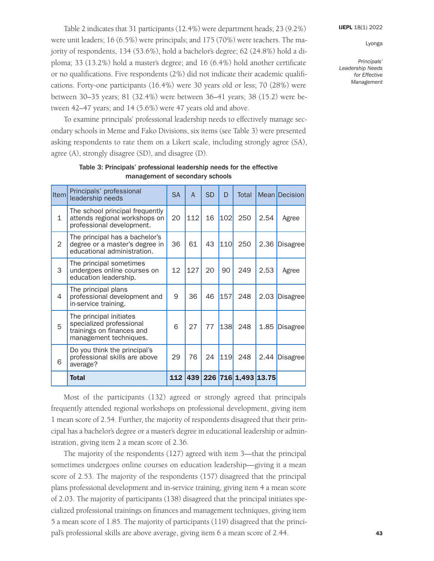*Principals' Leadership Needs for Effective Management*

Table 2 indicates that 31 participants (12.4%) were department heads; 23 (9.2%) were unit leaders; 16 (6.5%) were principals; and 175 (70%) were teachers. The majority of respondents, 134 (53.6%), hold a bachelor's degree; 62 (24.8%) hold a diploma; 33 (13.2%) hold a master's degree; and 16 (6.4%) hold another certificate or no qualifications. Five respondents (2%) did not indicate their academic qualifications. Forty-one participants (16.4%) were 30 years old or less; 70 (28%) were between 30–35 years; 81 (32.4%) were between 36–41 years; 38 (15.2) were between 42–47 years; and 14 (5.6%) were 47 years old and above.

To examine principals' professional leadership needs to effectively manage secondary schools in Meme and Fako Divisions, six items (see Table 3) were presented asking respondents to rate them on a Likert scale, including strongly agree (SA), agree (A), strongly disagree (SD), and disagree (D).

| Item           | Principals' professional<br>leadership needs                                                               | SA | $\overline{A}$ | <b>SD</b> | D   | Total               |      | <b>Mean Decision</b> |
|----------------|------------------------------------------------------------------------------------------------------------|----|----------------|-----------|-----|---------------------|------|----------------------|
| $\mathbf{1}$   | The school principal frequently<br>attends regional workshops on<br>professional development.              | 20 | 112            | 16        | 102 | 250                 | 2.54 | Agree                |
| $\overline{2}$ | The principal has a bachelor's<br>degree or a master's degree in<br>educational administration.            | 36 | 61             | 43        | 110 | 250                 | 2.36 | Disagree             |
| 3              | The principal sometimes<br>undergoes online courses on<br>education leadership.                            | 12 | 127            | 20        | 90  | 249                 | 2.53 | Agree                |
| 4              | The principal plans<br>professional development and<br>in-service training.                                | 9  | 36             | 46        | 157 | 248                 | 2.03 | <b>Disagree</b>      |
| 5              | The principal initiates<br>specialized professional<br>trainings on finances and<br>management techniques. | 6  | 27             | 77        | 138 | 248                 | 1.85 | <b>Disagree</b>      |
| 6              | Do you think the principal's<br>professional skills are above<br>average?                                  | 29 | 76             | 24        | 119 | 248                 | 2.44 | <b>Disagree</b>      |
|                | <b>Total</b>                                                                                               |    | <b>112 439</b> |           |     | 226 716 1,493 13.75 |      |                      |

# Table 3: Principals' professional leadership needs for the effective management of secondary schools

Most of the participants (132) agreed or strongly agreed that principals frequently attended regional workshops on professional development, giving item 1 mean score of 2.54. Further, the majority of respondents disagreed that their principal has a bachelor's degree or a master's degree in educational leadership or administration, giving item 2 a mean score of 2.36.

The majority of the respondents (127) agreed with item 3—that the principal sometimes undergoes online courses on education leadership—giving it a mean score of 2.53. The majority of the respondents (157) disagreed that the principal plans professional development and in-service training, giving item 4 a mean score of 2.03. The majority of participants (138) disagreed that the principal initiates specialized professional trainings on finances and management techniques, giving item 5 a mean score of 1.85. The majority of participants (119) disagreed that the principal's professional skills are above average, giving item 6 a mean score of 2.44.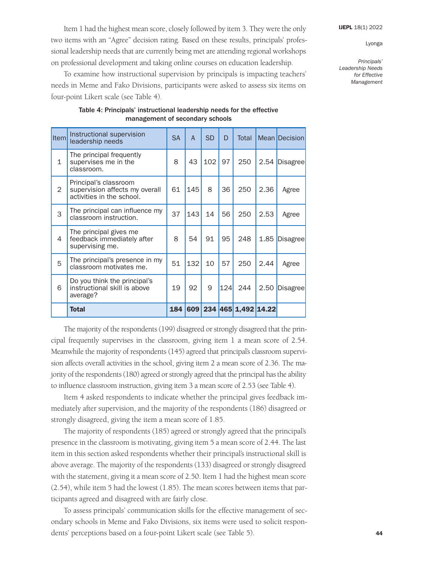Item 1 had the highest mean score, closely followed by item 3. They were the only two items with an "Agree" decision rating. Based on these results, principals' professional leadership needs that are currently being met are attending regional workshops on professional development and taking online courses on education leadership.

To examine how instructional supervision by principals is impacting teachers' needs in Meme and Fako Divisions, participants were asked to assess six items on four-point Likert scale (see Table 4).

| <b>Item</b>  | Instructional supervision<br>leadership needs                                        | <b>SA</b> | $\mathsf{A}$ | <b>SD</b> | D   | Total               |      | <b>Mean Decision</b> |
|--------------|--------------------------------------------------------------------------------------|-----------|--------------|-----------|-----|---------------------|------|----------------------|
| $\mathbf{1}$ | The principal frequently<br>supervises me in the<br>classroom.                       | 8         | 43           | 102       | 97  | 250                 | 2.54 | <b>Disagree</b>      |
| 2            | Principal's classroom<br>supervision affects my overall<br>activities in the school. | 61        | 145          | 8         | 36  | 250                 | 2.36 | Agree                |
| 3            | The principal can influence my<br>classroom instruction.                             | 37        | 143          | 14        | 56  | 250                 | 2.53 | Agree                |
| 4            | The principal gives me<br>feedback immediately after<br>supervising me.              | 8         | 54           | 91        | 95  | 248                 | 1.85 | Disagree             |
| 5            | The principal's presence in my<br>classroom motivates me.                            | 51        | 132          | 10        | 57  | 250                 | 2.44 | Agree                |
| 6            | Do you think the principal's<br>instructional skill is above<br>average?             | 19        | 92           | 9         | 124 | 244                 | 2.50 | Disagree             |
|              | <b>Total</b>                                                                         | 184       | 609          |           |     | 234 465 1,492 14.22 |      |                      |

Table 4: Principals' instructional leadership needs for the effective management of secondary schools

The majority of the respondents (199) disagreed or strongly disagreed that the principal frequently supervises in the classroom, giving item 1 a mean score of 2.54. Meanwhile the majority of respondents (145) agreed that principal's classroom supervision affects overall activities in the school, giving item 2 a mean score of 2.36. The majority of the respondents (180) agreed or strongly agreed that the principal has the ability to influence classroom instruction, giving item 3 a mean score of 2.53 (see Table 4).

Item 4 asked respondents to indicate whether the principal gives feedback immediately after supervision, and the majority of the respondents (186) disagreed or strongly disagreed, giving the item a mean score of 1.85.

The majority of respondents (185) agreed or strongly agreed that the principal's presence in the classroom is motivating, giving item 5 a mean score of 2.44. The last item in this section asked respondents whether their principal's instructional skill is above average. The majority of the respondents (133) disagreed or strongly disagreed with the statement, giving it a mean score of 2.50. Item 1 had the highest mean score (2.54), while item 5 had the lowest (1.85). The mean scores between items that participants agreed and disagreed with are fairly close.

To assess principals' communication skills for the effective management of secondary schools in Meme and Fako Divisions, six items were used to solicit respondents' perceptions based on a four-point Likert scale (see Table 5).

*Principals' Leadership Needs for Effective* 

*Management*

Lyonga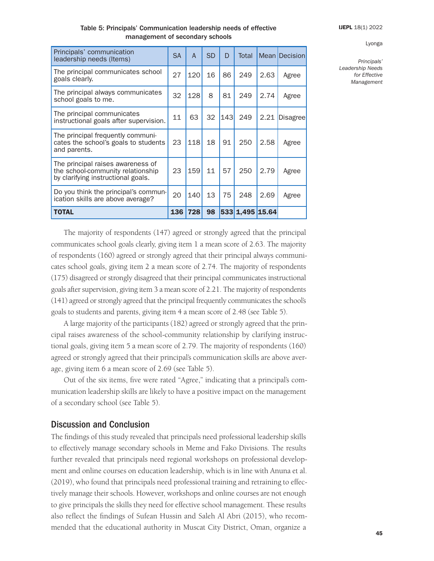#### Table 5: Principals' Communication leadership needs of effective management of secondary schools

| Principals' communication<br>leadership needs (Items)                                                        |     | $\overline{A}$ | <b>SD</b> | D          | Total           |      | <b>Mean Decision</b> |
|--------------------------------------------------------------------------------------------------------------|-----|----------------|-----------|------------|-----------------|------|----------------------|
| The principal communicates school<br>goals clearly.                                                          | 27  | 120            | 16        | 86         | 249             | 2.63 | Agree                |
| The principal always communicates<br>school goals to me.                                                     | 32  | 128            | 8         | 81         | 249             | 2.74 | Agree                |
| The principal communicates<br>instructional goals after supervision.                                         | 11  | 63             | 32        | <b>143</b> | 249             | 2.21 | Disagree             |
| The principal frequently communi-<br>cates the school's goals to students<br>and parents.                    | 23  | 118            | 18        | 91         | 250             | 2.58 | Agree                |
| The principal raises awareness of<br>the school-community relationship<br>by clarifying instructional goals. | 23  | 159            | 11        | 57         | 250             | 2.79 | Agree                |
| Do you think the principal's commun-<br>ication skills are above average?                                    | 20  | 140            | 13        | 75         | 248             | 2.69 | Agree                |
| <b>TOTAL</b>                                                                                                 | 136 | 728            | 98        |            | 533 1,495 15.64 |      |                      |

*Principals'* 

Lyonga

*Leadership Needs for Effective Management*

The majority of respondents (147) agreed or strongly agreed that the principal communicates school goals clearly, giving item 1 a mean score of 2.63. The majority of respondents (160) agreed or strongly agreed that their principal always communicates school goals, giving item 2 a mean score of 2.74. The majority of respondents (175) disagreed or strongly disagreed that their principal communicates instructional goals after supervision, giving item 3 a mean score of 2.21. The majority of respondents (141) agreed or strongly agreed that the principal frequently communicates the school's goals to students and parents, giving item 4 a mean score of 2.48 (see Table 5).

A large majority of the participants (182) agreed or strongly agreed that the principal raises awareness of the school-community relationship by clarifying instructional goals, giving item 5 a mean score of 2.79. The majority of respondents (160) agreed or strongly agreed that their principal's communication skills are above average, giving item 6 a mean score of 2.69 (see Table 5).

Out of the six items, five were rated "Agree," indicating that a principal's communication leadership skills are likely to have a positive impact on the management of a secondary school (see Table 5).

# Discussion and Conclusion

The findings of this study revealed that principals need professional leadership skills to effectively manage secondary schools in Meme and Fako Divisions. The results further revealed that principals need regional workshops on professional development and online courses on education leadership, which is in line with Anuna et al. (2019), who found that principals need professional training and retraining to effectively manage their schools. However, workshops and online courses are not enough to give principals the skills they need for effective school management. These results also reflect the findings of Sufean Hussin and Saleh Al Abri (2015), who recommended that the educational authority in Muscat City District, Oman, organize a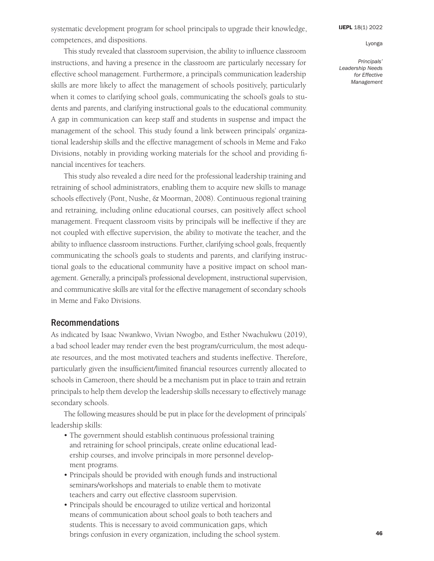systematic development program for school principals to upgrade their knowledge, competences, and dispositions.

This study revealed that classroom supervision, the ability to influence classroom instructions, and having a presence in the classroom are particularly necessary for effective school management. Furthermore, a principal's communication leadership skills are more likely to affect the management of schools positively, particularly when it comes to clarifying school goals, communicating the school's goals to students and parents, and clarifying instructional goals to the educational community. A gap in communication can keep staff and students in suspense and impact the management of the school. This study found a link between principals' organizational leadership skills and the effective management of schools in Meme and Fako Divisions, notably in providing working materials for the school and providing financial incentives for teachers.

This study also revealed a dire need for the professional leadership training and retraining of school administrators, enabling them to acquire new skills to manage schools effectively (Pont, Nushe, & Moorman, 2008). Continuous regional training and retraining, including online educational courses, can positively affect school management. Frequent classroom visits by principals will be ineffective if they are not coupled with effective supervision, the ability to motivate the teacher, and the ability to influence classroom instructions. Further, clarifying school goals, frequently communicating the school's goals to students and parents, and clarifying instructional goals to the educational community have a positive impact on school management. Generally, a principal's professional development, instructional supervision, and communicative skills are vital for the effective management of secondary schools in Meme and Fako Divisions.

### Recommendations

As indicated by Isaac Nwankwo, Vivian Nwogbo, and Esther Nwachukwu (2019), a bad school leader may render even the best program/curriculum, the most adequate resources, and the most motivated teachers and students ineffective. Therefore, particularly given the insufficient/limited financial resources currently allocated to schools in Cameroon, there should be a mechanism put in place to train and retrain principals to help them develop the leadership skills necessary to effectively manage secondary schools.

The following measures should be put in place for the development of principals' leadership skills:

- The government should establish continuous professional training and retraining for school principals, create online educational leadership courses, and involve principals in more personnel development programs.
- Principals should be provided with enough funds and instructional seminars/workshops and materials to enable them to motivate teachers and carry out effective classroom supervision.
- Principals should be encouraged to utilize vertical and horizontal means of communication about school goals to both teachers and students. This is necessary to avoid communication gaps, which brings confusion in every organization, including the school system.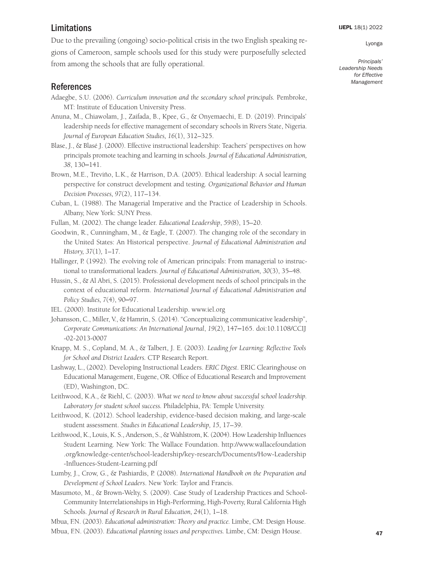# Limitations

Due to the prevailing (ongoing) socio-political crisis in the two English speaking regions of Cameroon, sample schools used for this study were purposefully selected from among the schools that are fully operational.

# References

- Adaegbe, S.U. (2006). *Curriculum innovation and the secondary school principals.* Pembroke, MT: Institute of Education University Press.
- Anuna, M., Chiawolam, J., Zaifada, B., Kpee, G., & Onyemaechi, E. D. (2019). Principals' leadership needs for effective management of secondary schools in Rivers State, Nigeria. *Journal of European Education Studies, 16*(1), 312–325.
- Blase, J., & Blasé J. (2000). Effective instructional leadership: Teachers' perspectives on how principals promote teaching and learning in schools. *Journal of Educational Administration, 38*, 130–141.
- Brown, M.E., Treviño, L.K., & Harrison, D.A. (2005). Ethical leadership: A social learning perspective for construct development and testing. *Organizational Behavior and Human Decision Processes, 97*(2), 117–134.
- Cuban, L. (1988). The Managerial Imperative and the Practice of Leadership in Schools. Albany, New York: SUNY Press.
- Fullan, M. (2002). The change leader. *Educational Leadership*, *59(*8), 15–20.
- Goodwin, R., Cunningham, M., & Eagle, T. (2007). The changing role of the secondary in the United States: An Historical perspective. *Journal of Educational Administration and History, 37*(1)*,* 1–17*.*
- Hallinger, P. (1992). The evolving role of American principals: From managerial to instructional to transformational leaders. *Journal of Educational Administration, 30*(3), 35–48.
- Hussin, S., & Al Abri, S. (2015). Professional development needs of school principals in the context of educational reform. *International Journal of Educational Administration and Policy Studies, 7*(4), 90–97.
- IEL. (2000). Institute for Educational Leadership. [www.iel.org](http://www.iel.org)
- Johansson, C., Miller, V., & Hamrin, S. (2014). "Conceptualizing communicative leadership", *Corporate Communications: An International Journal*, *19*(2), 147–165. doi[:10.1108/CCIJ](http://dx.doi.org/10.1108/CCIJ-02-2013-0007)  [-02-2013-0007](http://dx.doi.org/10.1108/CCIJ-02-2013-0007)
- Knapp, M. S., Copland, M. A., & Talbert, J. E. (2003). *Leading for Learning: Reflective Tools for School and District Leaders.* CTP Research Report.
- Lashway, L., (2002). Developing Instructional Leaders. *ERIC Digest*. ERIC Clearinghouse on Educational Management, Eugene, OR. Office of Educational Research and Improvement (ED), Washington, DC.
- Leithwood, K.A., & Riehl, C. (2003). *What we need to know about successful school leadership. Laboratory for student school success.* Philadelphia, PA: Temple University.
- Leithwood, K. (2012). School leadership, evidence-based decision making, and large-scale student assessment. *Studies in Educational Leadership, 15*, 17–39.
- Leithwood, K., Louis, K. S., Anderson, S., & Wahlstrom, K. (2004). How Leadership Influences Student Learning. New York: The Wallace Foundation. [http://www.wallacefoundation](http://www.wallacefoundation.org/knowledge-center/school-leadership/key-research/Documents/How-Leadership-Influences-Student-Learning.pdf)  [.org/knowledge-center/school-leadership/key-research/Documents/How-Leadership](http://www.wallacefoundation.org/knowledge-center/school-leadership/key-research/Documents/How-Leadership-Influences-Student-Learning.pdf)  [-Influences-Student-Learning.pdf](http://www.wallacefoundation.org/knowledge-center/school-leadership/key-research/Documents/How-Leadership-Influences-Student-Learning.pdf)
- Lumby, J., Crow, G., & Pashiardis, P. (2008). *International Handbook on the Preparation and Development of School Leaders*. New York: Taylor and Francis.
- Masumoto, M., & Brown-Welty, S. (2009). Case Study of Leadership Practices and School-Community Interrelationships in High-Performing, High-Poverty, Rural California High Schools. *Journal of Research in Rural Education, 24*(1), 1–18.

Mbua, F.N. (2003). *Educational administration: Theory and practice.* Limbe, CM: Design House.

Mbua, F.N. (2003). *Educational planning issues and perspectives.* Limbe, CM: Design House.

[IJEPL](http://www.ijepl.org) 18(1) 2022

Lyonga